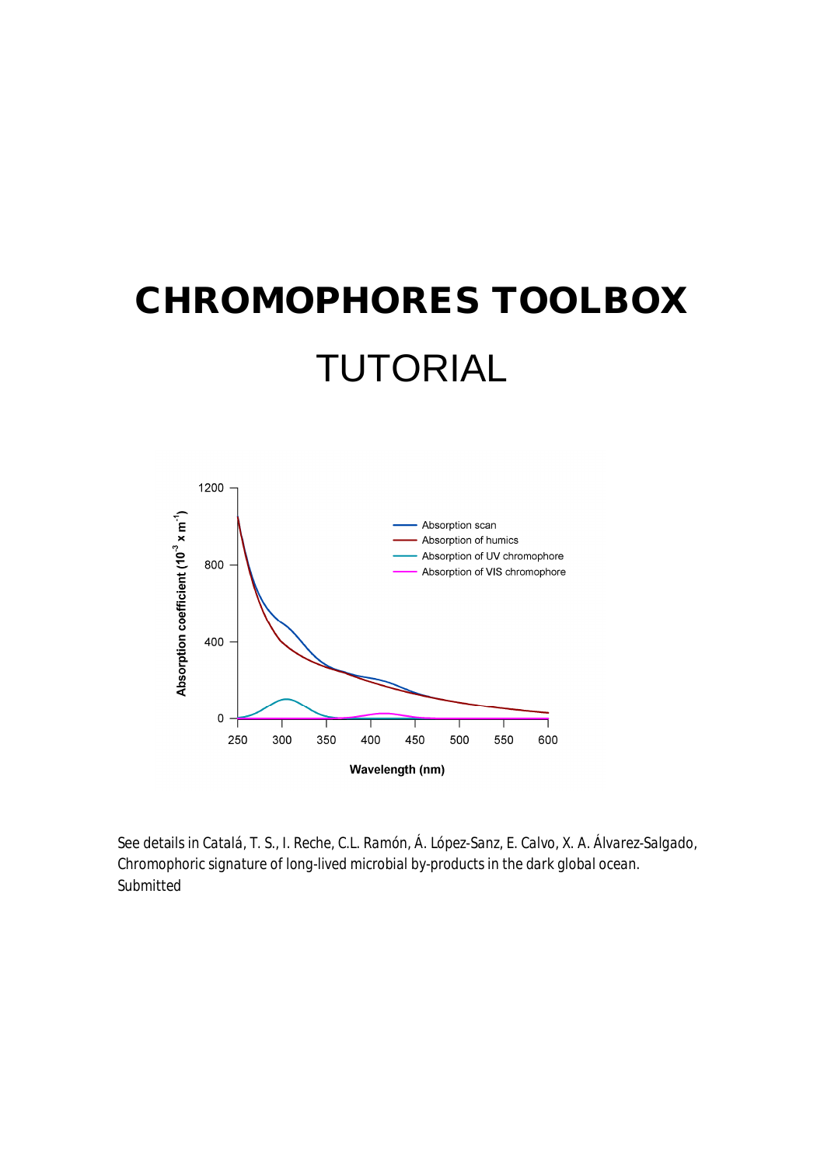# **CHROMOPHORES TOOLBOX** TUTORIAL



See details in *Catalá, T. S., I. Reche, C.L. Ramón, Á. López-Sanz, E. Calvo, X. A. Álvarez-Salgado, Chromophoric signature of long-lived microbial by-products in the dark global ocean. Submitted*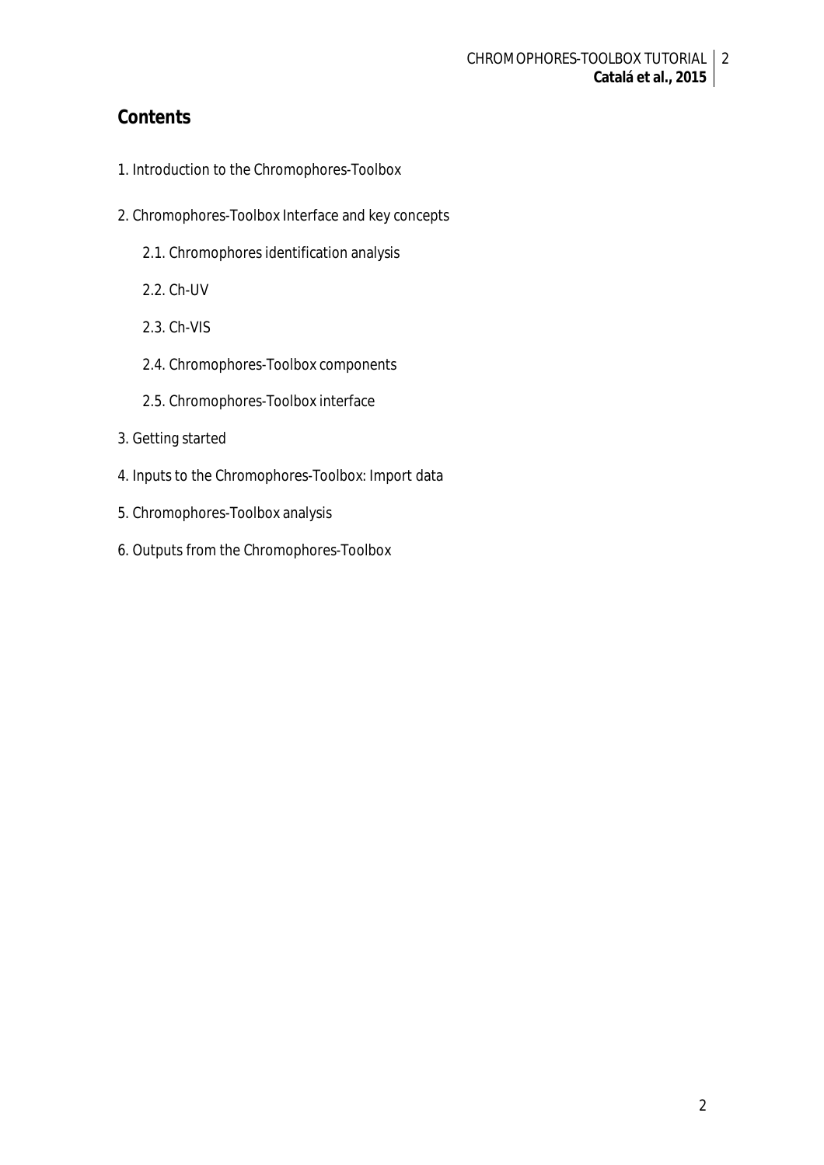CHROMOPHORES-TOOLBOX TUTORIAL 2 **Catalá et al., 2015**

## **Contents**

- 1. Introduction to the Chromophores-Toolbox
- 2. Chromophores-Toolbox Interface and key concepts
	- 2.1. Chromophores identification analysis
	- 2.2. Ch-UV
	- 2.3. Ch-VIS
	- 2.4. Chromophores-Toolbox components
	- 2.5. Chromophores-Toolbox interface
- 3. Getting started
- 4. Inputs to the Chromophores-Toolbox: Import data
- 5. Chromophores-Toolbox analysis
- 6. Outputs from the Chromophores-Toolbox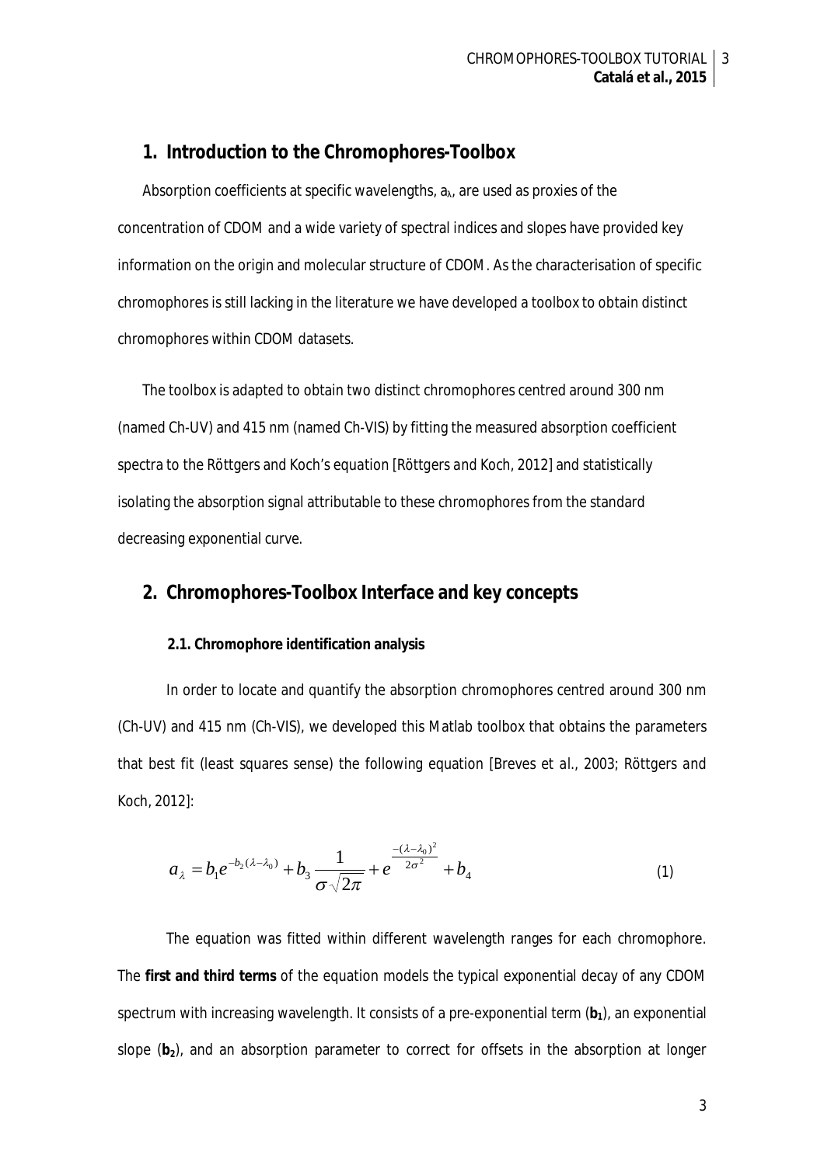## **1. Introduction to the Chromophores-Toolbox**

Absorption coefficients at specific wavelengths,  $a_{\lambda}$ , are used as proxies of the concentration of CDOM and a wide variety of spectral indices and slopes have provided key information on the origin and molecular structure of CDOM. As the characterisation of specific chromophores is still lacking in the literature we have developed a toolbox to obtain distinct chromophores within CDOM datasets.

The toolbox is adapted to obtain two distinct chromophores centred around 300 nm (named Ch-UV) and 415 nm (named Ch-VIS) by fitting the measured absorption coefficient spectra to the Röttgers and Koch's equation [*Röttgers and Koch*, 2012] and statistically isolating the absorption signal attributable to these chromophores from the standard decreasing exponential curve.

## **2. Chromophores-Toolbox Interface and key concepts**

#### **2.1. Chromophore identification analysis**

In order to locate and quantify the absorption chromophores centred around 300 nm (Ch-UV) and 415 nm (Ch-VIS), we developed this Matlab toolbox that obtains the parameters that best fit (least squares sense) the following equation [Breves *et al*., 2003; *Röttgers and Koch,* 2012]:

$$
a_{\lambda} = b_1 e^{-b_2(\lambda - \lambda_0)} + b_3 \frac{1}{\sigma \sqrt{2\pi}} + e^{-\frac{-(\lambda - \lambda_0)^2}{2\sigma^2}} + b_4
$$
 (1)

The equation was fitted within different wavelength ranges for each chromophore. The **first and third terms** of the equation models the typical exponential decay of any CDOM spectrum with increasing wavelength. It consists of a pre-exponential term (**b1**), an exponential slope (**b2**), and an absorption parameter to correct for offsets in the absorption at longer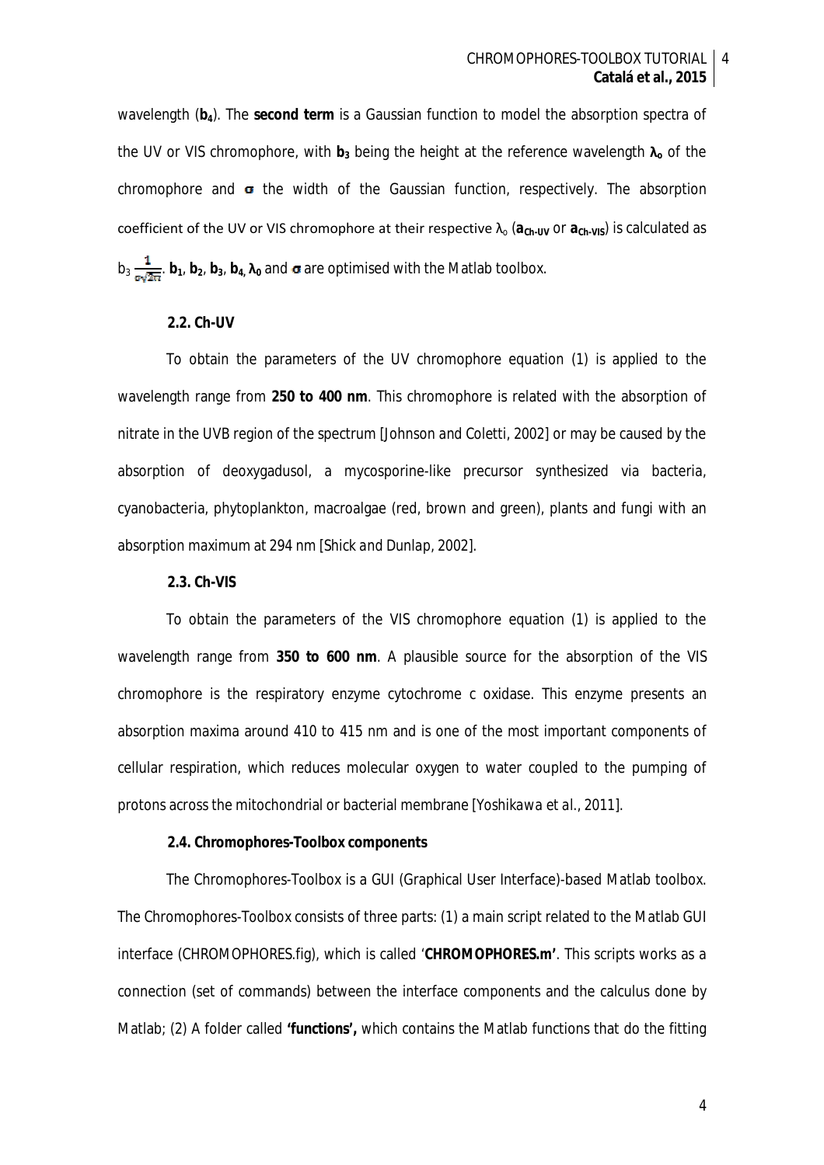wavelength (**b4**). The **second term** is a Gaussian function to model the absorption spectra of the UV or VIS chromophore, with **b<sup>3</sup>** being the height at the reference wavelength **λ<sup>o</sup>** of the chromophore and  $\sigma$  the width of the Gaussian function, respectively. The absorption coefficient of the UV or VIS chromophore at their respective λ<sub>ο</sub> ( $a$ <sub>Ch-UV</sub> or  $a$ <sub>Ch-VIS</sub>) is calculated as  $b_3 \frac{1}{m\sqrt{2m}}$ , **b**<sub>1</sub>, **b**<sub>2</sub>, **b**<sub>3</sub>, **b**<sub>4</sub>, **λ**<sub>0</sub> and  $\sigma$  are optimised with the Matlab toolbox.

#### **2.2. Ch-UV**

To obtain the parameters of the UV chromophore equation (1) is applied to the wavelength range from **250 to 400 nm**. This chromophore is related with the absorption of nitrate in the UVB region of the spectrum [*Johnson and Coletti*, 2002] or may be caused by the absorption of deoxygadusol, a mycosporine-like precursor synthesized via bacteria, cyanobacteria, phytoplankton, macroalgae (red, brown and green), plants and fungi with an absorption maximum at 294 nm [*Shick and Dunlap*, 2002].

#### **2.3. Ch-VIS**

To obtain the parameters of the VIS chromophore equation (1) is applied to the wavelength range from **350 to 600 nm**. A plausible source for the absorption of the VIS chromophore is the respiratory enzyme cytochrome c oxidase. This enzyme presents an absorption maxima around 410 to 415 nm and is one of the most important components of cellular respiration, which reduces molecular oxygen to water coupled to the pumping of protons across the mitochondrial or bacterial membrane [*Yoshikawa et al.,* 2011].

#### **2.4. Chromophores-Toolbox components**

The Chromophores-Toolbox is a GUI (Graphical User Interface)-based Matlab toolbox. The Chromophores-Toolbox consists of three parts: (1) a main script related to the Matlab GUI interface (CHROMOPHORES.fig), which is called '*CHROMOPHORES.m***'**. This scripts works as a connection (set of commands) between the interface components and the calculus done by Matlab; (2) A folder called **'***functions***',** which contains the Matlab functions that do the fitting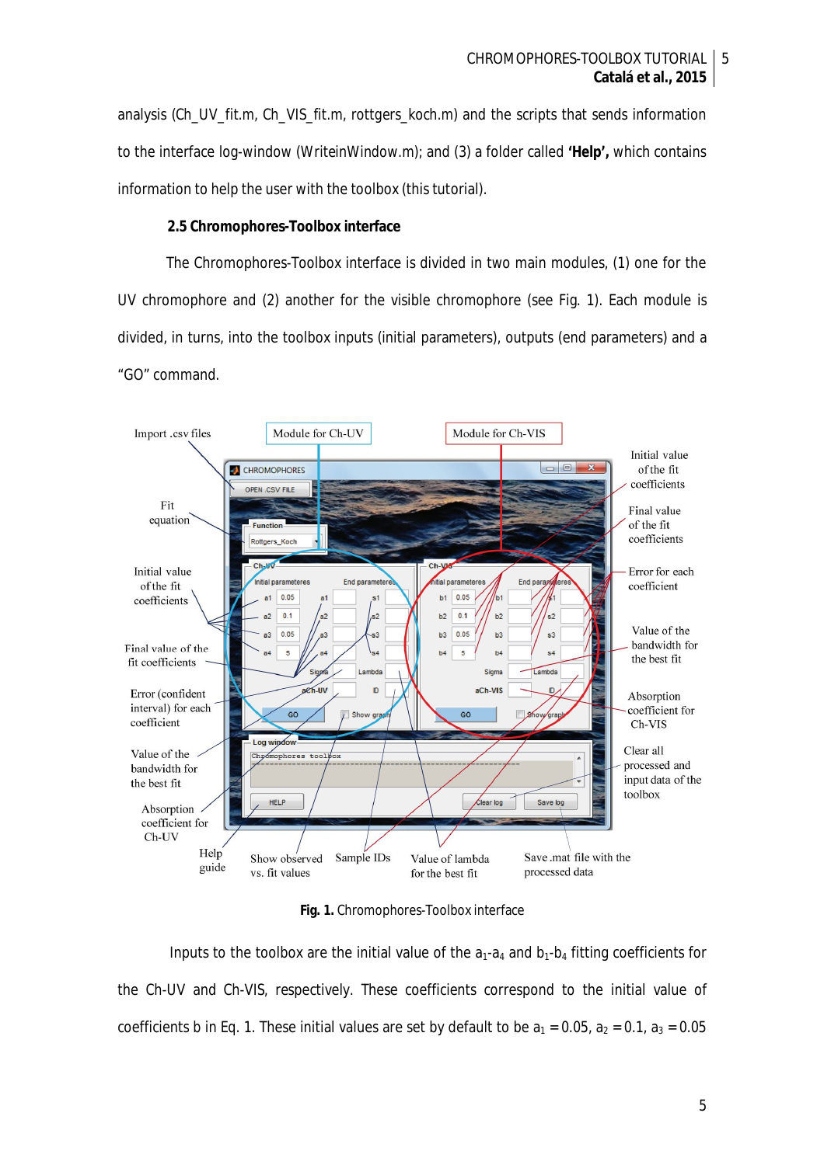analysis (*Ch\_UV\_fit.m, Ch\_VIS\_fit.m, rottgers\_koch.m*) and the scripts that sends information to the interface log-window (*WriteinWindow.m*); and (3) a folder called **'Help',** which contains information to help the user with the toolbox (this tutorial).

#### **2.5 Chromophores-Toolbox interface**

The Chromophores-Toolbox interface is divided in two main modules, (1) one for the UV chromophore and (2) another for the visible chromophore (see Fig. 1). Each module is divided, in turns, into the toolbox inputs (initial parameters), outputs (end parameters) and a "GO" command.



**Fig. 1.** Chromophores-Toolbox interface

Inputs to the toolbox are the initial value of the  $a_1-a_4$  and  $b_1-b_4$  fitting coefficients for the Ch-UV and Ch-VIS, respectively. These coefficients correspond to the initial value of coefficients *b* in Eq. 1. These initial values are set by default to be  $a_1 = 0.05$ ,  $a_2 = 0.1$ ,  $a_3 = 0.05$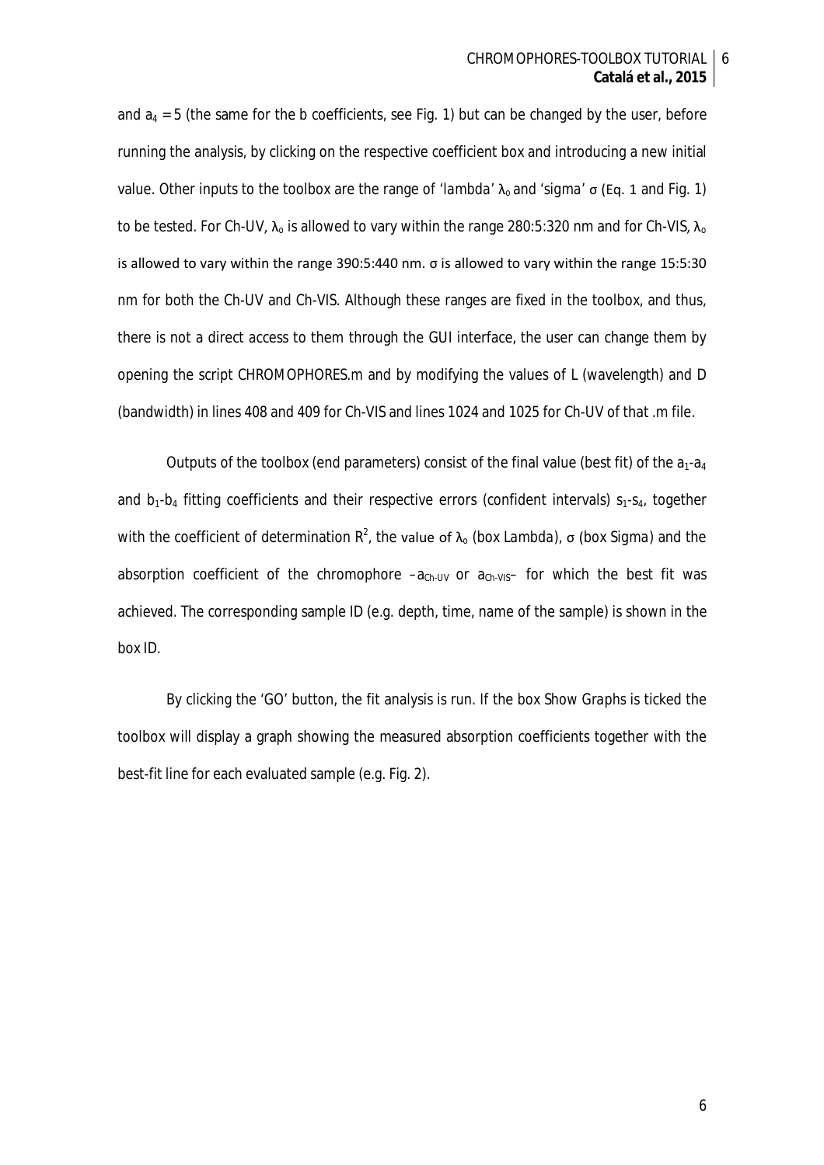#### CHROMOPHORES-TOOLBOX TUTORIAL 6 **Catalá et al., 2015**

and  $a_4$  = 5 (the same for the *b* coefficients, see Fig. 1) but can be changed by the user, before running the analysis, by clicking on the respective coefficient box and introducing a new initial value. Other inputs to the toolbox are the range of '*lambda'* λ<sub>o</sub> and '*sigma'* σ (Eq. 1 and Fig. 1) to be tested. For Ch-UV,  $\lambda_0$  is allowed to vary within the range 280:5:320 nm and for Ch-VIS,  $\lambda_0$ is allowed to vary within the range 390:5:440 nm. σ is allowed to vary within the range 15:5:30 nm for both the Ch-UV and Ch-VIS. Although these ranges are fixed in the toolbox, and thus, there is not a direct access to them through the GUI interface, the user can change them by opening the script *CHROMOPHORES.m* and by modifying the values of L (wavelength) and D (bandwidth) in lines 408 and 409 for Ch-VIS and lines 1024 and 1025 for Ch-UV of that .m file.

Outputs of the toolbox (end parameters) consist of the final value (best fit) of the  $a_1-a_4$ and  $b_1-b_4$  fitting coefficients and their respective errors (confident intervals)  $s_1-s_4$ , together with the coefficient of determination R<sup>2</sup>, the value of λ<sub>ο</sub> (box *Lambda*), σ (box *Sigma*) and the absorption coefficient of the chromophore  $-a_{Ch-UV}$  or  $a_{Ch-VIS}$  for which the best fit was achieved. The corresponding sample ID (e.g. depth, time, name of the sample) is shown in the box *ID.*

By clicking the '*GO*' button, the fit analysis is run. If the box *Show Graphs* is ticked the toolbox will display a graph showing the measured absorption coefficients together with the best-fit line for each evaluated sample (e.g. Fig. 2).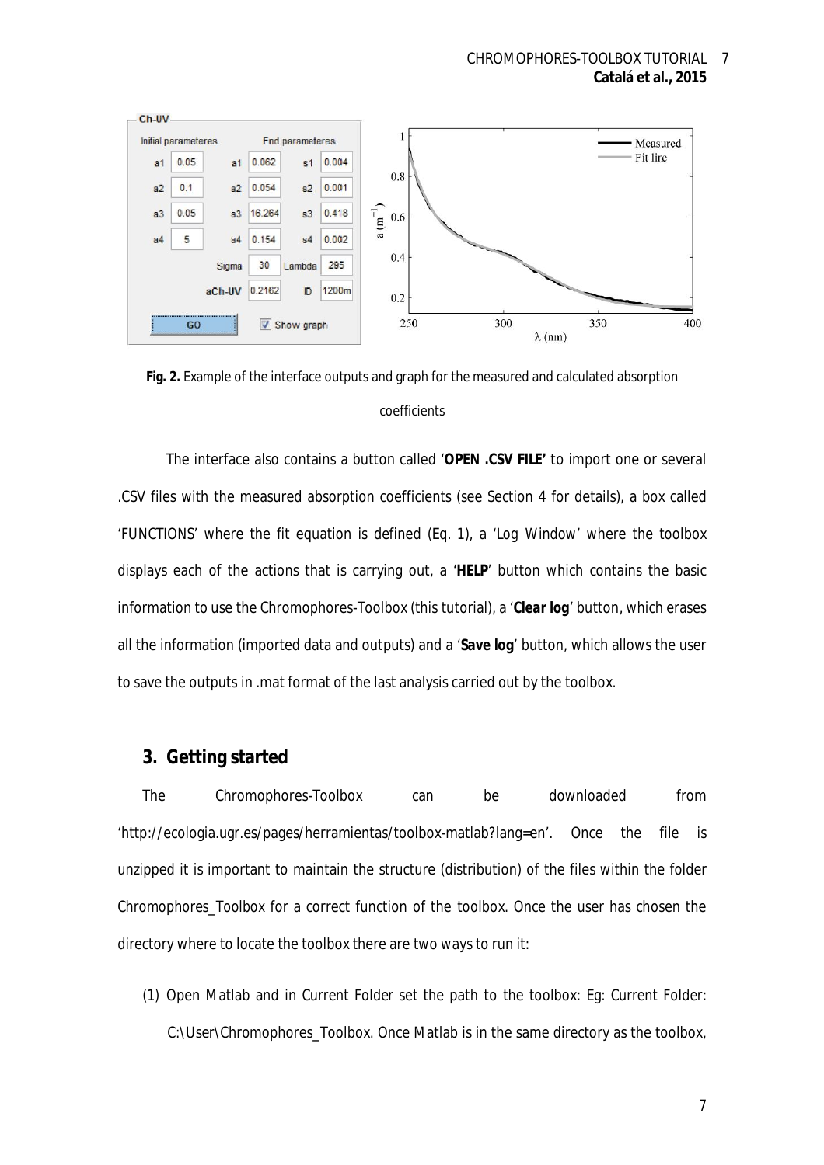CHROMOPHORES-TOOLBOX TUTORIAL **Catalá et al., 2015** 7



**Fig. 2.** Example of the interface outputs and graph for the measured and calculated absorption coefficients

The interface also contains a button called '*OPEN .CSV FILE***'** to import one or several .CSV files with the measured absorption coefficients (see Section 4 for details), a box called '*FUNCTIONS*' where the fit equation is defined (Eq. 1), a '*Log Window*' where the toolbox displays each of the actions that is carrying out, a '*HELP*' button which contains the basic information to use the Chromophores-Toolbox (this tutorial), a '*Clear log*' button, which erases all the information (imported data and outputs) and a '*Save log*' button, which allows the user to save the outputs in .mat format of the last analysis carried out by the toolbox.

## **3. Getting started**

The Chromophores-Toolbox can be downloaded from 'http://ecologia.ugr.es/pages/herramientas/toolbox-matlab?lang=en'. Once the file is unzipped it is important to maintain the structure (distribution) of the files within the folder *Chromophores\_Toolbox* for a correct function of the toolbox. Once the user has chosen the directory where to locate the toolbox there are two ways to run it:

(1) Open Matlab and in *Current Folder* set the path to the toolbox: Eg: *Current Folder*: C:\User\Chromophores\_Toolbox. Once Matlab is in the same directory as the toolbox,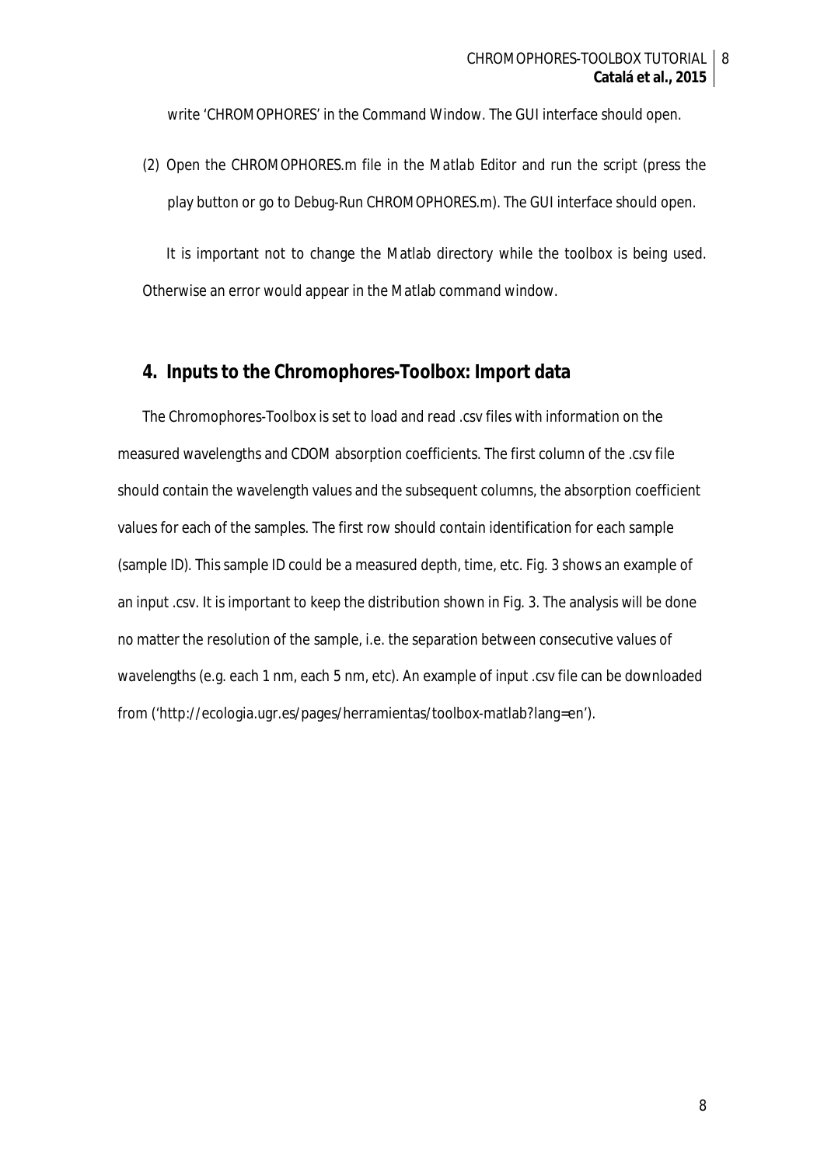write 'CHROMOPHORES' in the Command Window. The GUI interface should open.

(2) Open the CHROMOPHORES.m file in the *Matlab Editor* and run the script (press the play button or go to Debug-Run CHROMOPHORES.m). The GUI interface should open.

It is important not to change the Matlab directory while the toolbox is being used. Otherwise an error would appear in the Matlab command window.

## **4. Inputs to the Chromophores-Toolbox: Import data**

The Chromophores-Toolbox is set to load and read .csv files with information on the measured wavelengths and CDOM absorption coefficients. The first column of the .csv file should contain the wavelength values and the subsequent columns, the absorption coefficient values for each of the samples. The first row should contain identification for each sample (sample ID). This sample ID could be a measured depth, time, etc. Fig. 3 shows an example of an input .csv. It is important to keep the distribution shown in Fig. 3. The analysis will be done no matter the resolution of the sample, i.e. the separation between consecutive values of wavelengths (e.g. each 1 nm, each 5 nm, etc). An example of input .csv file can be downloaded from ('http://ecologia.ugr.es/pages/herramientas/toolbox-matlab?lang=en').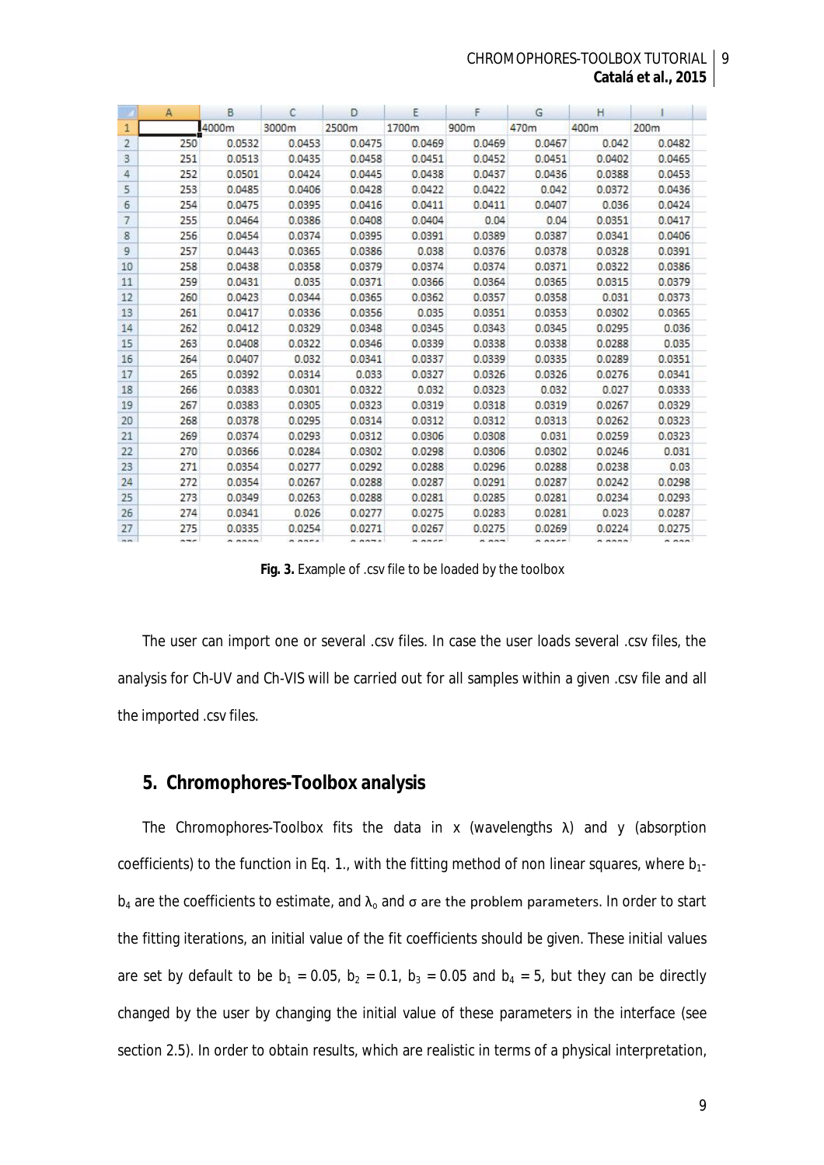## CHROMOPHORES-TOOLBOX TUTORIAL 9 **Catalá et al., 2015**

| Α  |     | B      | C      | D      | E      | F      | G      | H      |        |
|----|-----|--------|--------|--------|--------|--------|--------|--------|--------|
| 1  |     | 4000m  | 3000m  | 2500m  | 1700m  | 900m   | 470m   | 400m   | 200m   |
| 2  | 250 | 0.0532 | 0.0453 | 0.0475 | 0.0469 | 0.0469 | 0.0467 | 0.042  | 0.0482 |
| 3  | 251 | 0.0513 | 0.0435 | 0.0458 | 0.0451 | 0.0452 | 0.0451 | 0.0402 | 0.0465 |
| 4  | 252 | 0.0501 | 0.0424 | 0.0445 | 0.0438 | 0.0437 | 0.0436 | 0.0388 | 0.0453 |
| 5. | 253 | 0.0485 | 0.0406 | 0.0428 | 0.0422 | 0.0422 | 0.042  | 0.0372 | 0.0436 |
| 6  | 254 | 0.0475 | 0.0395 | 0.0416 | 0.0411 | 0.0411 | 0.0407 | 0.036  | 0.0424 |
| 7  | 255 | 0.0464 | 0.0386 | 0.0408 | 0.0404 | 0.04   | 0.04   | 0.0351 | 0.0417 |
| 8  | 256 | 0.0454 | 0.0374 | 0.0395 | 0.0391 | 0.0389 | 0.0387 | 0.0341 | 0.0406 |
| 9  | 257 | 0.0443 | 0.0365 | 0.0386 | 0.038  | 0.0376 | 0.0378 | 0.0328 | 0.0391 |
| 10 | 258 | 0.0438 | 0.0358 | 0.0379 | 0.0374 | 0.0374 | 0.0371 | 0.0322 | 0.0386 |
| 11 | 259 | 0.0431 | 0.035  | 0.0371 | 0.0366 | 0.0364 | 0.0365 | 0.0315 | 0.0379 |
| 12 | 260 | 0.0423 | 0.0344 | 0.0365 | 0.0362 | 0.0357 | 0.0358 | 0.031  | 0.0373 |
| 13 | 261 | 0.0417 | 0.0336 | 0.0356 | 0.035  | 0.0351 | 0.0353 | 0.0302 | 0.0365 |
| 14 | 262 | 0.0412 | 0.0329 | 0.0348 | 0.0345 | 0.0343 | 0.0345 | 0.0295 | 0.036  |
| 15 | 263 | 0.0408 | 0.0322 | 0.0346 | 0.0339 | 0.0338 | 0.0338 | 0.0288 | 0.035  |
| 16 | 264 | 0.0407 | 0.032  | 0.0341 | 0.0337 | 0.0339 | 0.0335 | 0.0289 | 0.0351 |
| 17 | 265 | 0.0392 | 0.0314 | 0.033  | 0.0327 | 0.0326 | 0.0326 | 0.0276 | 0.0341 |
| 18 | 266 | 0.0383 | 0.0301 | 0.0322 | 0.032  | 0.0323 | 0.032  | 0.027  | 0.0333 |
| 19 | 267 | 0.0383 | 0.0305 | 0.0323 | 0.0319 | 0.0318 | 0.0319 | 0.0267 | 0.0329 |
| 20 | 268 | 0.0378 | 0.0295 | 0.0314 | 0.0312 | 0.0312 | 0.0313 | 0.0262 | 0.0323 |
| 21 | 269 | 0.0374 | 0.0293 | 0.0312 | 0.0306 | 0.0308 | 0.031  | 0.0259 | 0.0323 |
| 22 | 270 | 0.0366 | 0.0284 | 0.0302 | 0.0298 | 0.0306 | 0.0302 | 0.0246 | 0.031  |
| 23 | 271 | 0.0354 | 0.0277 | 0.0292 | 0.0288 | 0.0296 | 0.0288 | 0.0238 | 0.03   |
| 24 | 272 | 0.0354 | 0.0267 | 0.0288 | 0.0287 | 0.0291 | 0.0287 | 0.0242 | 0.0298 |
| 25 | 273 | 0.0349 | 0.0263 | 0.0288 | 0.0281 | 0.0285 | 0.0281 | 0.0234 | 0.0293 |
| 26 | 274 | 0.0341 | 0.026  | 0.0277 | 0.0275 | 0.0283 | 0.0281 | 0.023  | 0.0287 |
| 27 | 275 | 0.0335 | 0.0254 | 0.0271 | 0.0267 | 0.0275 | 0.0269 | 0.0224 | 0.0275 |
|    |     |        |        |        |        |        |        |        |        |

**Fig. 3.** Example of .csv file to be loaded by the toolbox

The user can import one or several .csv files. In case the user loads several .csv files, the analysis for Ch-UV and Ch-VIS will be carried out for all samples within a given .csv file and all the imported .csv files.

## **5. Chromophores-Toolbox analysis**

The Chromophores-Toolbox fits the data in x (wavelengths  $\lambda$ ) and y (absorption coefficients) to the function in Eq. 1., with the fitting method of non linear squares, where  $b_1$  $b_4$  are the coefficients to estimate, and  $\lambda_0$  and σ are the problem parameters. In order to start the fitting iterations, an initial value of the fit coefficients should be given. These initial values are set by default to be  $b_1 = 0.05$ ,  $b_2 = 0.1$ ,  $b_3 = 0.05$  and  $b_4 = 5$ , but they can be directly changed by the user by changing the initial value of these parameters in the interface (see section 2.5). In order to obtain results, which are realistic in terms of a physical interpretation,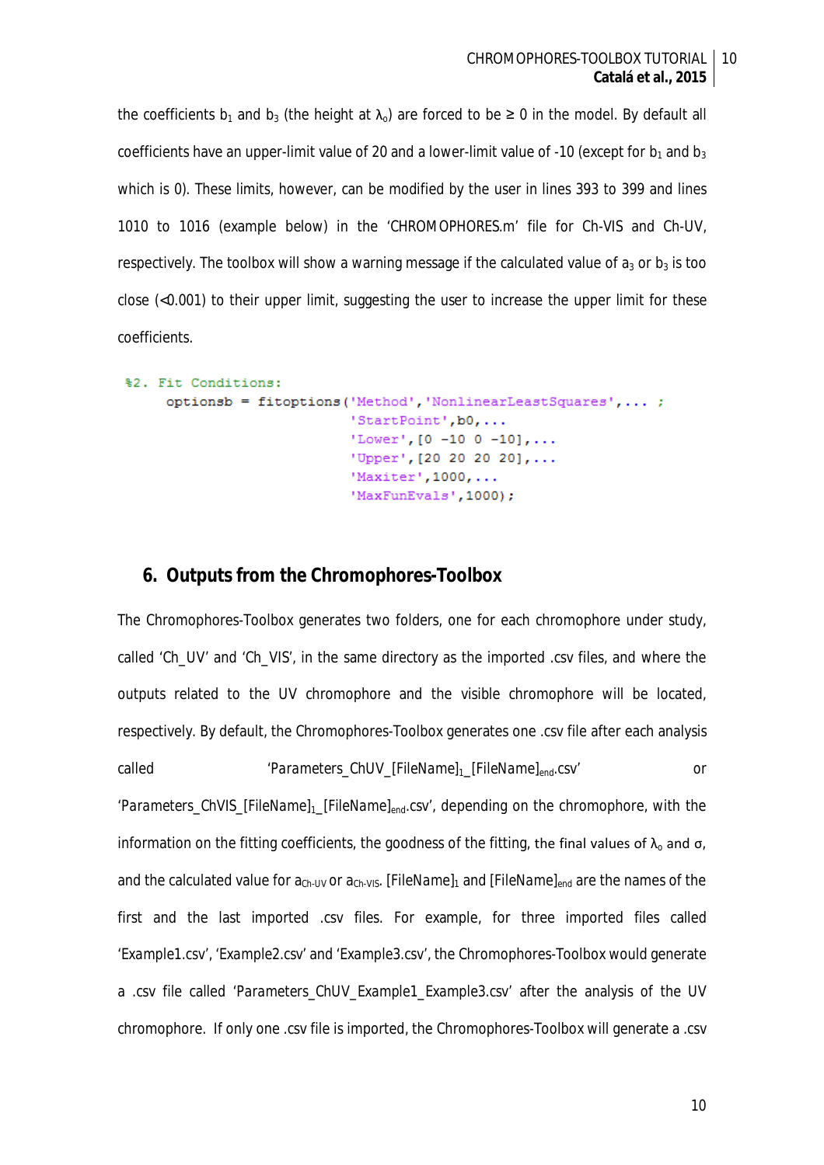the coefficients  $b_1$  and  $b_3$  (the height at  $\lambda_0$ ) are forced to be  $\geq 0$  in the model. By default all coefficients have an upper-limit value of 20 and a lower-limit value of -10 (except for  $b_1$  and  $b_3$ which is 0). These limits, however, can be modified by the user in lines 393 to 399 and lines 1010 to 1016 (example below) in the '*CHROMOPHORES.m'* file for Ch-VIS and Ch-UV, respectively. The toolbox will show a warning message if the calculated value of  $a_3$  or  $b_3$  is too close (<0.001) to their upper limit, suggesting the user to increase the upper limit for these coefficients.

```
%2. Fit Conditions:
optionsb = fitoptions('Method', 'NonlinearLeastSquares',...;
                        'StartPoint', b0, ...
                        'Lower', [0 -10 0 -10], ...
                        'Upper', [20 20 20 20], ...
                        'Maxiter', 1000, ...
                        'MaxFunEvals', 1000);
```
## **6. Outputs from the Chromophores-Toolbox**

The Chromophores-Toolbox generates two folders, one for each chromophore under study, called '*Ch\_UV*' and '*Ch\_VIS'*, in the same directory as the imported .csv files, and where the outputs related to the UV chromophore and the visible chromophore will be located, respectively. By default, the Chromophores-Toolbox generates one .csv file after each analysis called '*Parameters\_ChUV\_[FileName]1\_[FileName]end.csv' or*  '*Parameters\_ChVIS\_[FileName]<sub>1</sub>\_[FileName]<sub>end</sub>.csv', depending on the chromophore, with the* information on the fitting coefficients, the goodness of the fitting, the final values of  $\lambda_0$  and σ, and the calculated value for a<sub>ch-UV</sub> or a<sub>ch-VIS</sub>. [*FileName*]<sub>1</sub> and [*FileName*]<sub>end</sub> are the names of the first and the last imported .csv files. For example, for three imported files called '*Example1.csv'*, '*Example2.csv'* and '*Example3.csv'*, the Chromophores-Toolbox would generate a .csv file called '*Parameters\_ChUV\_Example1\_Example3.csv*' after the analysis of the UV chromophore. If only one .csv file is imported, the Chromophores-Toolbox will generate a .csv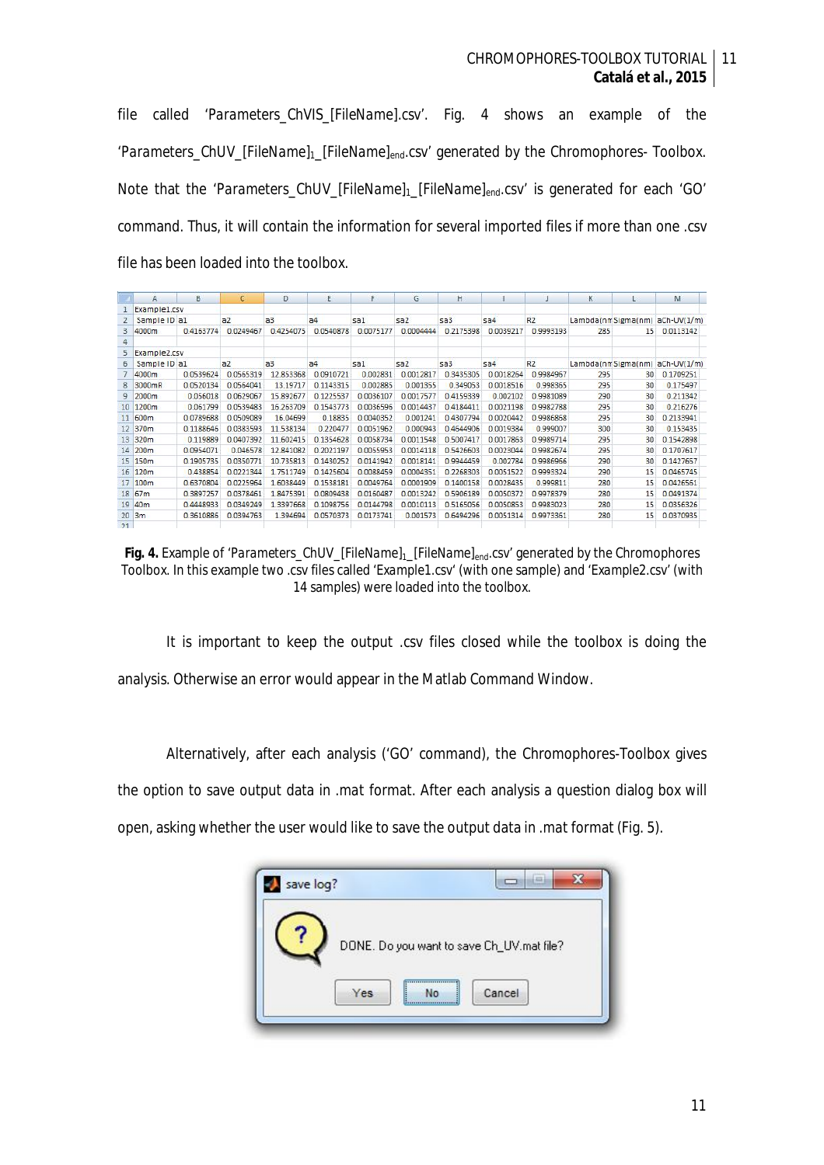## CHROMOPHORES-TOOLBOX TUTORIAL 11 **Catalá et al., 2015**

file called '*Parameters\_ChVIS\_[FileName].csv'.* Fig. 4 shows an example of the '*Parameters\_ChUV\_[FileName]1\_[FileName]end.csv'* generated by the Chromophores- Toolbox. Note that the '*Parameters\_ChUV\_[FileName]1\_[FileName]end.csv'* is generated for each 'GO' command. Thus, it will contain the information for several imported files if more than one .csv file has been loaded into the toolbox.

|                  | $\mathsf{A}$ | B         | $\mathbb{C}$   | D              | Ε         | F         | G         | Η         |           |                | K.  |                     | M                               |
|------------------|--------------|-----------|----------------|----------------|-----------|-----------|-----------|-----------|-----------|----------------|-----|---------------------|---------------------------------|
|                  | Example1.csv |           |                |                |           |           |           |           |           |                |     |                     |                                 |
|                  | Sample ID a1 |           | a <sub>2</sub> | a <sub>3</sub> | a4        | sa1       | sa2       | sa3       | sa4       | R <sub>2</sub> |     |                     | Lambda(nm Sigma(nm) aCh-UV(1/m) |
| 3.               | 4000m        | 0.4163774 | 0.0249467      | 0.4254075      | 0.0540878 | 0.0075177 | 0.0004444 | 0.2175398 | 0.0039217 | 0.9993193      | 285 | 15                  | 0.0113142                       |
| 4                |              |           |                |                |           |           |           |           |           |                |     |                     |                                 |
|                  | Example2.csv |           |                |                |           |           |           |           |           |                |     |                     |                                 |
| 6                | Sample ID a1 |           | a <sub>2</sub> | a <sub>3</sub> | a4        | sa1       | sa2       | sa3       | sa4       | R <sub>2</sub> |     | Lambda(nn Sigma(nm) | $a$ Ch-UV $(1/m)$               |
|                  | 4000m        | 0.0539624 | 0.0565319      | 12.853368      | 0.0910721 | 0.002831  | 0.0012817 | 0.3435305 | 0.0018264 | 0.9984967      | 295 | 30                  | 0.1709251                       |
| 8                | 3000mR       | 0.0520134 | 0.0564041      | 13.19717       | 0.1143315 | 0.002885  | 0.001355  | 0.349053  | 0.0018516 | 0.998365       | 295 | 30                  | 0.175497                        |
| 9                | 2000m        | 0.056018  | 0.0629067      | 15.892677      | 0.1225537 | 0.0036107 | 0.0017577 | 0.4159339 | 0.002102  | 0.9981089      | 290 | 30                  | 0.211342                        |
| 10 <sup>10</sup> | 1200m        | 0.061799  | 0.0539483      | 16.263709      | 0.1543773 | 0.0036596 | 0.0014437 | 0.4184411 | 0.0021198 | 0.9982788      | 295 | 30                  | 0.216276                        |
| 11               | 600m         | 0.0789688 | 0.0509089      | 16.04699       | 0.18835   | 0.0040352 | 0.001241  | 0.4307794 | 0.0020442 | 0.9986868      | 295 | 30                  | 0.2133941                       |
|                  | 12 370m      | 0.1188646 | 0.0383593      | 11.538134      | 0.220477  | 0.0051962 | 0.000943  | 0.4644906 | 0.0019384 | 0.999007       | 300 | 30                  | 0.153435                        |
|                  | 13 320m      | 0.119889  | 0.0407392      | 11.602415      | 0.1354628 | 0.0058734 | 0.0011548 | 0.5007417 | 0.0017863 | 0.9989714      | 295 | 30                  | 0.1542898                       |
| 14               | 200m         | 0.0954071 | 0.046578       | 12,841082      | 0.2021197 | 0.0055953 | 0.0014118 | 0.5426603 | 0.0023044 | 0.9982674      | 295 | 30                  | 0.1707617                       |
|                  | 15 150m      | 0.1905735 | 0.0350771      | 10.735813      | 0.1430252 | 0.0141942 | 0.0018141 | 0.9944459 | 0.002784  | 0.9986966      | 290 | 30                  | 0.1427657                       |
|                  | 16 120m      | 0.438854  | 0.0221344      | 1.7511749      | 0.1425604 | 0.0088459 | 0.0004351 | 0.2268303 | 0.0051522 | 0.9993324      | 290 | 15                  | 0.0465745                       |
| 17               | 100m         | 0.6370804 | 0.0225964      | 1.6038449      | 0.1538181 | 0.0049764 | 0.0001909 | 0.1400158 | 0.0028435 | 0.999811       | 280 | 15                  | 0.0426561                       |
|                  | 18 67m       | 0.3897257 | 0.0378461      | 1.8475391      | 0.0809438 | 0.0160487 | 0.0013242 | 0.5906189 | 0.0050372 | 0.9978379      | 280 | 15                  | 0.0491374                       |
| 19               | 40m          | 0.4448933 | 0.0349249      | 1.3397668      | 0.1098756 | 0.0144798 | 0.0010113 | 0.5165056 | 0.0050853 | 0.9983023      | 280 | 15                  | 0.0356326                       |
| 20               | 3m           | 0.3610886 | 0.0394763      | 1.394694       | 0.0570373 | 0.0173741 | 0.001573  | 0.6494296 | 0.0051314 | 0.9973361      | 280 | 15                  | 0.0370935                       |
| 21               |              |           |                |                |           |           |           |           |           |                |     |                     |                                 |

**Fig. 4.** Example of '*Parameters\_ChUV\_[FileName]1\_[FileName]end.csv'* generated by the Chromophores Toolbox. In this example two .csv files called '*Example1.csv*' (with one sample) and '*Example2.csv'* (with 14 samples) were loaded into the toolbox.

It is important to keep the output .csv files closed while the toolbox is doing the analysis. Otherwise an error would appear in the Matlab Command Window.

Alternatively, after each analysis ('GO' command), the Chromophores-Toolbox gives

the option to save output data in *.mat* format. After each analysis a question dialog box will

open, asking whether the user would like to save the output data in *.mat* format (Fig. 5).

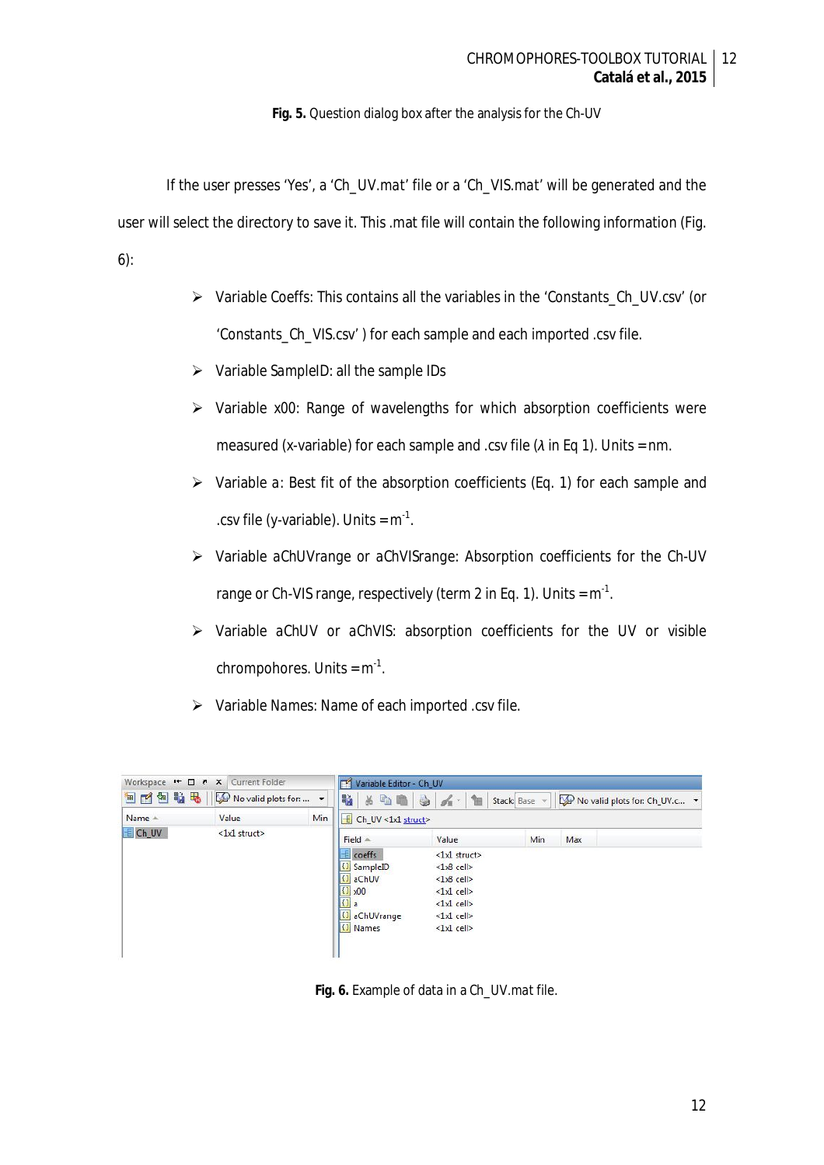**Fig. 5.** Question dialog box after the analysis for the Ch-UV

If the user presses '*Yes*', a '*Ch\_UV.mat'* file or a '*Ch\_VIS.mat'* will be generated and the user will select the directory to save it. This .mat file will contain the following information (Fig. 6):

- Variable *Coeffs*: This contains all the variables in the '*Constants\_Ch\_UV.csv' (or*  '*Constants\_Ch\_VIS.csv' )* for each sample and each imported *.csv* file.
- Variable *SampleID*: all the sample IDs
- Variable *x00*: Range of wavelengths for which absorption coefficients were measured (x-variable) for each sample and .csv file (*λ* in Eq 1). Units = nm.
- Variable *a*: Best fit of the absorption coefficients (Eq. 1) for each sample and .csv file (y-variable). Units =  $m^{-1}$ .
- Variable *aChUVrange or aChVISrange*: Absorption coefficients for the Ch-UV range or Ch-VIS range, respectively (term 2 in Eq. 1). Units =  $\mathsf{m}^\text{-1}$ .
- Variable *aChUV* or *aChVIS*: absorption coefficients for the UV or visible chrompohores. Units =  $m^{-1}$ .
- Variable *Names*: Name of each imported .csv file.

| Workspace $H = \Box$ $X$<br>Current Folder |                                          |     | Variable Editor - Ch_UV<br>$\sqrt{2}$ |                                   |               |     |                               |  |
|--------------------------------------------|------------------------------------------|-----|---------------------------------------|-----------------------------------|---------------|-----|-------------------------------|--|
| 国内国防国                                      | $\mathbb{Q}$ No valid plots for: $\star$ |     | 騹<br>人名自                              | 6<br>$\mathcal{L}_{\mathbb{R}}$ - | Stack: Base - |     | No valid plots for: Ch_UV.c v |  |
| Name =                                     | Value                                    | Min | $E$ Ch_UV <1x1 struct>                |                                   |               |     |                               |  |
| E Ch_UV                                    | <1x1 struct>                             |     | $Field \triangleq$                    | Value                             | Min           | Max |                               |  |
|                                            |                                          |     | coeffs                                | <1x1 struct><br>$<1x8$ cell>      |               |     |                               |  |
|                                            |                                          |     | SampleID<br>aChUV                     | $<1x8$ cell>                      |               |     |                               |  |
|                                            |                                          |     | $00x$ $(3)$                           | $\langle 1x1 \rangle$ cell $>$    |               |     |                               |  |
|                                            |                                          |     | a                                     | <1x1 cell>                        |               |     |                               |  |
|                                            |                                          |     | aChUVrange                            | $\langle 1x1 \rangle$ cell $>$    |               |     |                               |  |
|                                            |                                          |     | () Names                              | $\langle 1x1 \rangle$ cell $>$    |               |     |                               |  |

**Fig. 6.** Example of data in a *Ch\_UV.mat* file.